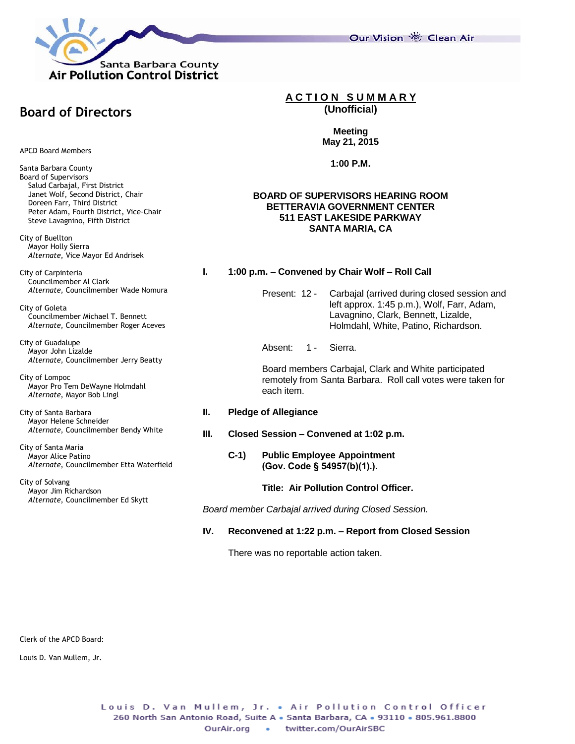

**Board of Directors**

APCD Board Members

Santa Barbara County Board of Supervisors Salud Carbajal, First District Janet Wolf, Second District, Chair Doreen Farr, Third District Peter Adam, Fourth District, Vice-Chair Steve Lavagnino, Fifth District

City of Buellton Mayor Holly Sierra *Alternate*, Vice Mayor Ed Andrisek

City of Carpinteria Councilmember Al Clark *Alternate*, Councilmember Wade Nomura

City of Goleta Councilmember Michael T. Bennett *Alternate*, Councilmember Roger Aceves

City of Guadalupe Mayor John Lizalde *Alternate*, Councilmember Jerry Beatty

City of Lompoc Mayor Pro Tem DeWayne Holmdahl *Alternate*, Mayor Bob Lingl

City of Santa Barbara Mayor Helene Schneider *Alternate*, Councilmember Bendy White

City of Santa Maria Mayor Alice Patino *Alternate*, Councilmember Etta Waterfield

City of Solvang Mayor Jim Richardson *Alternate*, Councilmember Ed Skytt **A C T I O N S U M M A R Y (Unofficial)**

# **Meeting May 21, 2015**

**1:00 P.M.**

## **BOARD OF SUPERVISORS HEARING ROOM BETTERAVIA GOVERNMENT CENTER 511 EAST LAKESIDE PARKWAY SANTA MARIA, CA**

# **I. 1:00 p.m. – Convened by Chair Wolf – Roll Call**

Present: 12 - Carbajal (arrived during closed session and left approx. 1:45 p.m.), Wolf, Farr, Adam, Lavagnino, Clark, Bennett, Lizalde, Holmdahl, White, Patino, Richardson.

Absent: 1 - Sierra.

Board members Carbajal, Clark and White participated remotely from Santa Barbara. Roll call votes were taken for each item.

- **II. Pledge of Allegiance**
- **III. Closed Session – Convened at 1:02 p.m.**
	- **C-1) Public Employee Appointment (Gov. Code § 54957(b)(1).).**

**Title: Air Pollution Control Officer.**

*Board member Carbajal arrived during Closed Session.*

**IV. Reconvened at 1:22 p.m. – Report from Closed Session**

There was no reportable action taken.

Clerk of the APCD Board:

Louis D. Van Mullem, Jr.

Our Vision 卷 Clean Air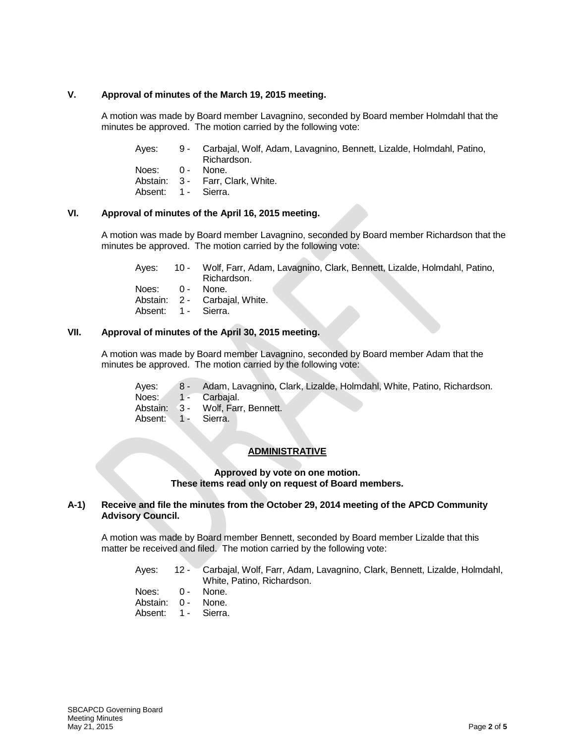## **V. Approval of minutes of the March 19, 2015 meeting.**

A motion was made by Board member Lavagnino, seconded by Board member Holmdahl that the minutes be approved. The motion carried by the following vote:

| Ayes: | 9 - Carbajal, Wolf, Adam, Lavagnino, Bennett, Lizalde, Holmdahl, Patino, |
|-------|--------------------------------------------------------------------------|
|       | Richardson.                                                              |

Noes: 0 - None.

Abstain: 3 - Farr, Clark, White.

Absent: 1 - Sierra.

# **VI. Approval of minutes of the April 16, 2015 meeting.**

A motion was made by Board member Lavagnino, seconded by Board member Richardson that the minutes be approved. The motion carried by the following vote:

Ayes: 10 - Wolf, Farr, Adam, Lavagnino, Clark, Bennett, Lizalde, Holmdahl, Patino, Richardson.<br>None. Noes: 0 -<br>Abstain: 2 -2 - Carbajal, White.

Absent: 1 - Sierra.

## **VII. Approval of minutes of the April 30, 2015 meeting.**

A motion was made by Board member Lavagnino, seconded by Board member Adam that the minutes be approved. The motion carried by the following vote:

| Aves:               | 8 - Adam, Lavagnino, Clark, Lizalde, Holmdahl, White, Patino, Richardson. |
|---------------------|---------------------------------------------------------------------------|
| Noes:               | 1 - Carbaial.                                                             |
|                     | Abstain: 3 - Wolf, Farr, Bennett.                                         |
| Absent: 1 - Sierra. |                                                                           |

# **ADMINISTRATIVE**

**Approved by vote on one motion. These items read only on request of Board members.**

#### **A-1) Receive and file the minutes from the October 29, 2014 meeting of the APCD Community Advisory Council.**

A motion was made by Board member Bennett, seconded by Board member Lizalde that this matter be received and filed. The motion carried by the following vote:

- Ayes: 12 Carbajal, Wolf, Farr, Adam, Lavagnino, Clark, Bennett, Lizalde, Holmdahl, White, Patino, Richardson.
- Noes: 0 None.
- Abstain: 0 None. Absent: 1 - Sierra.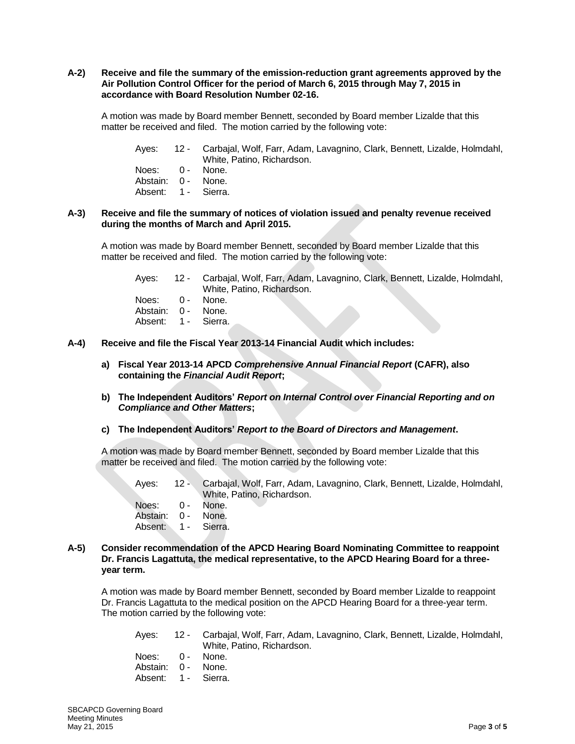#### **A-2) Receive and file the summary of the emission-reduction grant agreements approved by the Air Pollution Control Officer for the period of March 6, 2015 through May 7, 2015 in accordance with Board Resolution Number 02-16.**

A motion was made by Board member Bennett, seconded by Board member Lizalde that this matter be received and filed. The motion carried by the following vote:

Ayes: 12 - Carbajal, Wolf, Farr, Adam, Lavagnino, Clark, Bennett, Lizalde, Holmdahl, White, Patino, Richardson.

| Noes:    | ი - | None.   |
|----------|-----|---------|
| Abstain: | ი - | None.   |
| Absent:  | 1 - | Sierra. |

#### **A-3) Receive and file the summary of notices of violation issued and penalty revenue received during the months of March and April 2015.**

A motion was made by Board member Bennett, seconded by Board member Lizalde that this matter be received and filed. The motion carried by the following vote:

Ayes: 12 - Carbajal, Wolf, Farr, Adam, Lavagnino, Clark, Bennett, Lizalde, Holmdahl, White, Patino, Richardson. Noes: 0 - None. Abstain: 0 - None.

Absent: 1 - Sierra.

- **A-4) Receive and file the Fiscal Year 2013-14 Financial Audit which includes:**
	- **a) Fiscal Year 2013-14 APCD** *Comprehensive Annual Financial Report* **(CAFR), also containing the** *Financial Audit Report***;**
	- **b) The Independent Auditors'** *Report on Internal Control over Financial Reporting and on Compliance and Other Matters***;**
	- **c) The Independent Auditors'** *Report to the Board of Directors and Management***.**

A motion was made by Board member Bennett, seconded by Board member Lizalde that this matter be received and filed. The motion carried by the following vote:

| Aves:              | 12 - Carbajal, Wolf, Farr, Adam, Lavagnino, Clark, Bennett, Lizalde, Holmdahl, |
|--------------------|--------------------------------------------------------------------------------|
|                    | White, Patino, Richardson,                                                     |
| Noes: 0 - None.    |                                                                                |
| Abstain: 0 - None. |                                                                                |

Absent: 1 - Sierra.

#### **A-5) Consider recommendation of the APCD Hearing Board Nominating Committee to reappoint Dr. Francis Lagattuta, the medical representative, to the APCD Hearing Board for a threeyear term.**

A motion was made by Board member Bennett, seconded by Board member Lizalde to reappoint Dr. Francis Lagattuta to the medical position on the APCD Hearing Board for a three-year term. The motion carried by the following vote:

| Aves:           | 12 - Carbajal, Wolf, Farr, Adam, Lavagnino, Clark, Bennett, Lizalde, Holmdahl, |
|-----------------|--------------------------------------------------------------------------------|
|                 | White, Patino, Richardson,                                                     |
| Noes: 0 - None. |                                                                                |
| $\mathbf{A}$    |                                                                                |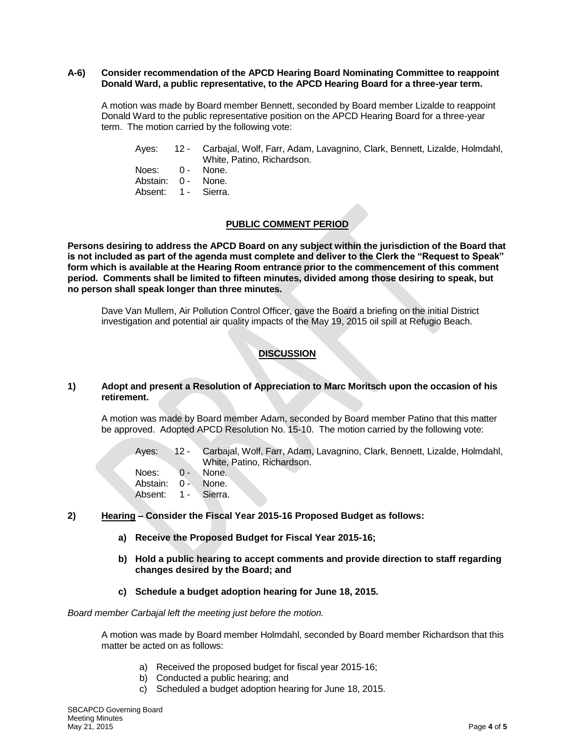#### **A-6) Consider recommendation of the APCD Hearing Board Nominating Committee to reappoint Donald Ward, a public representative, to the APCD Hearing Board for a three-year term.**

A motion was made by Board member Bennett, seconded by Board member Lizalde to reappoint Donald Ward to the public representative position on the APCD Hearing Board for a three-year term. The motion carried by the following vote:

- Ayes: 12 Carbajal, Wolf, Farr, Adam, Lavagnino, Clark, Bennett, Lizalde, Holmdahl, White, Patino, Richardson.
- Noes: 0 None. Abstain: 0 - None. Absent: 1 - Sierra.

**Persons desiring to address the APCD Board on any subject within the jurisdiction of the Board that is not included as part of the agenda must complete and deliver to the Clerk the "Request to Speak" form which is available at the Hearing Room entrance prior to the commencement of this comment period. Comments shall be limited to fifteen minutes, divided among those desiring to speak, but no person shall speak longer than three minutes.**

**PUBLIC COMMENT PERIOD**

Dave Van Mullem, Air Pollution Control Officer, gave the Board a briefing on the initial District investigation and potential air quality impacts of the May 19, 2015 oil spill at Refugio Beach.

# **DISCUSSION**

#### **1) Adopt and present a Resolution of Appreciation to Marc Moritsch upon the occasion of his retirement.**

A motion was made by Board member Adam, seconded by Board member Patino that this matter be approved. Adopted APCD Resolution No. 15-10. The motion carried by the following vote:

Ayes: 12 - Carbajal, Wolf, Farr, Adam, Lavagnino, Clark, Bennett, Lizalde, Holmdahl, White, Patino, Richardson.

- Noes: 0 None. Abstain: 0 - None. Absent: 1 - Sierra.
- **2) Hearing – Consider the Fiscal Year 2015-16 Proposed Budget as follows:** 
	- **a) Receive the Proposed Budget for Fiscal Year 2015-16;**
	- **b) Hold a public hearing to accept comments and provide direction to staff regarding changes desired by the Board; and**
	- **c) Schedule a budget adoption hearing for June 18, 2015.**

*Board member Carbajal left the meeting just before the motion.*

A motion was made by Board member Holmdahl, seconded by Board member Richardson that this matter be acted on as follows:

- a) Received the proposed budget for fiscal year 2015-16;
- b) Conducted a public hearing; and
- c) Scheduled a budget adoption hearing for June 18, 2015.